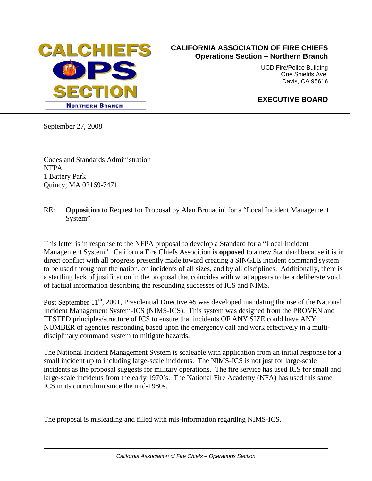

## **CALIFORNIA ASSOCIATION OF FIRE CHIEFS Operations Section – Northern Branch**

UCD Fire/Police Building One Shields Ave. Davis, CA 95616

## **EXECUTIVE BOARD**

September 27, 2008

Codes and Standards Administration NFPA 1 Battery Park Quincy, MA 02169-7471

## RE: **Opposition** to Request for Proposal by Alan Brunacini for a "Local Incident Management System"

This letter is in response to the NFPA proposal to develop a Standard for a "Local Incident Management System". California Fire Chiefs Assocition is **opposed** to a new Standard because it is in direct conflict with all progress presently made toward creating a SINGLE incident command system to be used throughout the nation, on incidents of all sizes, and by all disciplines. Additionally, there is a startling lack of justification in the proposal that coincides with what appears to be a deliberate void of factual information describing the resounding successes of ICS and NIMS.

Post September  $11<sup>th</sup>$ , 2001, Presidential Directive #5 was developed mandating the use of the National Incident Management System-ICS (NIMS-ICS). This system was designed from the PROVEN and TESTED principles/structure of ICS to ensure that incidents OF ANY SIZE could have ANY NUMBER of agencies responding based upon the emergency call and work effectively in a multidisciplinary command system to mitigate hazards.

The National Incident Management System is scaleable with application from an initial response for a small incident up to including large-scale incidents. The NIMS-ICS is not just for large-scale incidents as the proposal suggests for military operations. The fire service has used ICS for small and large-scale incidents from the early 1970's. The National Fire Academy (NFA) has used this same ICS in its curriculum since the mid-1980s.

The proposal is misleading and filled with mis-information regarding NIMS-ICS.